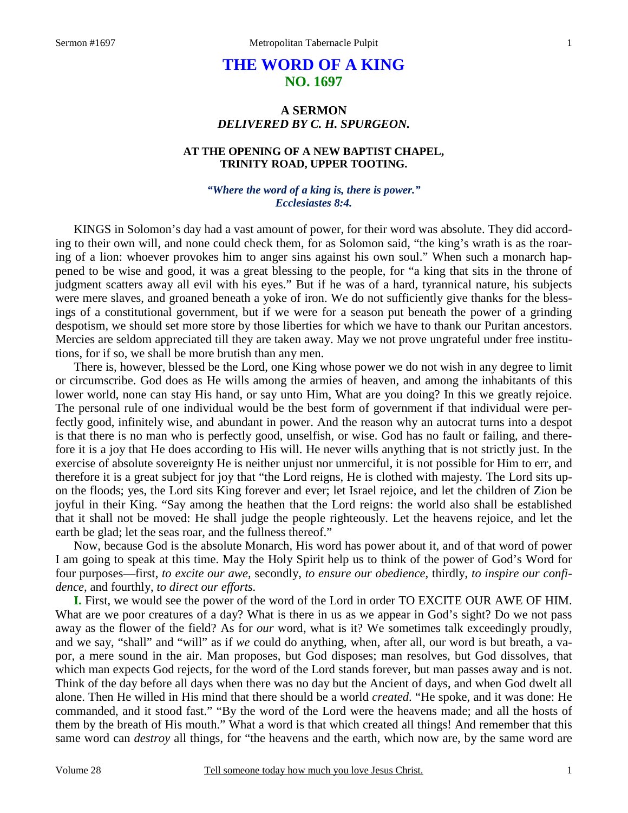# **THE WORD OF A KING NO. 1697**

## **A SERMON**  *DELIVERED BY C. H. SPURGEON.*

## **AT THE OPENING OF A NEW BAPTIST CHAPEL, TRINITY ROAD, UPPER TOOTING.**

### *"Where the word of a king is, there is power." Ecclesiastes 8:4.*

KINGS in Solomon's day had a vast amount of power, for their word was absolute. They did according to their own will, and none could check them, for as Solomon said, "the king's wrath is as the roaring of a lion: whoever provokes him to anger sins against his own soul." When such a monarch happened to be wise and good, it was a great blessing to the people, for "a king that sits in the throne of judgment scatters away all evil with his eyes." But if he was of a hard, tyrannical nature, his subjects were mere slaves, and groaned beneath a yoke of iron. We do not sufficiently give thanks for the blessings of a constitutional government, but if we were for a season put beneath the power of a grinding despotism, we should set more store by those liberties for which we have to thank our Puritan ancestors. Mercies are seldom appreciated till they are taken away. May we not prove ungrateful under free institutions, for if so, we shall be more brutish than any men.

 There is, however, blessed be the Lord, one King whose power we do not wish in any degree to limit or circumscribe. God does as He wills among the armies of heaven, and among the inhabitants of this lower world, none can stay His hand, or say unto Him, What are you doing? In this we greatly rejoice. The personal rule of one individual would be the best form of government if that individual were perfectly good, infinitely wise, and abundant in power. And the reason why an autocrat turns into a despot is that there is no man who is perfectly good, unselfish, or wise. God has no fault or failing, and therefore it is a joy that He does according to His will. He never wills anything that is not strictly just. In the exercise of absolute sovereignty He is neither unjust nor unmerciful, it is not possible for Him to err, and therefore it is a great subject for joy that "the Lord reigns, He is clothed with majesty. The Lord sits upon the floods; yes, the Lord sits King forever and ever; let Israel rejoice, and let the children of Zion be joyful in their King. "Say among the heathen that the Lord reigns: the world also shall be established that it shall not be moved: He shall judge the people righteously. Let the heavens rejoice, and let the earth be glad; let the seas roar, and the fullness thereof."

 Now, because God is the absolute Monarch, His word has power about it, and of that word of power I am going to speak at this time. May the Holy Spirit help us to think of the power of God's Word for four purposes—first, *to excite our awe,* secondly, *to ensure our obedience,* thirdly, *to inspire our confidence,* and fourthly, *to direct our efforts.*

**I.** First, we would see the power of the word of the Lord in order TO EXCITE OUR AWE OF HIM. What are we poor creatures of a day? What is there in us as we appear in God's sight? Do we not pass away as the flower of the field? As for *our* word, what is it? We sometimes talk exceedingly proudly, and we say, "shall" and "will" as if *we* could do anything, when, after all, our word is but breath, a vapor, a mere sound in the air. Man proposes, but God disposes; man resolves, but God dissolves, that which man expects God rejects, for the word of the Lord stands forever, but man passes away and is not. Think of the day before all days when there was no day but the Ancient of days, and when God dwelt all alone. Then He willed in His mind that there should be a world *created*. "He spoke, and it was done: He commanded, and it stood fast." "By the word of the Lord were the heavens made; and all the hosts of them by the breath of His mouth." What a word is that which created all things! And remember that this same word can *destroy* all things, for "the heavens and the earth, which now are, by the same word are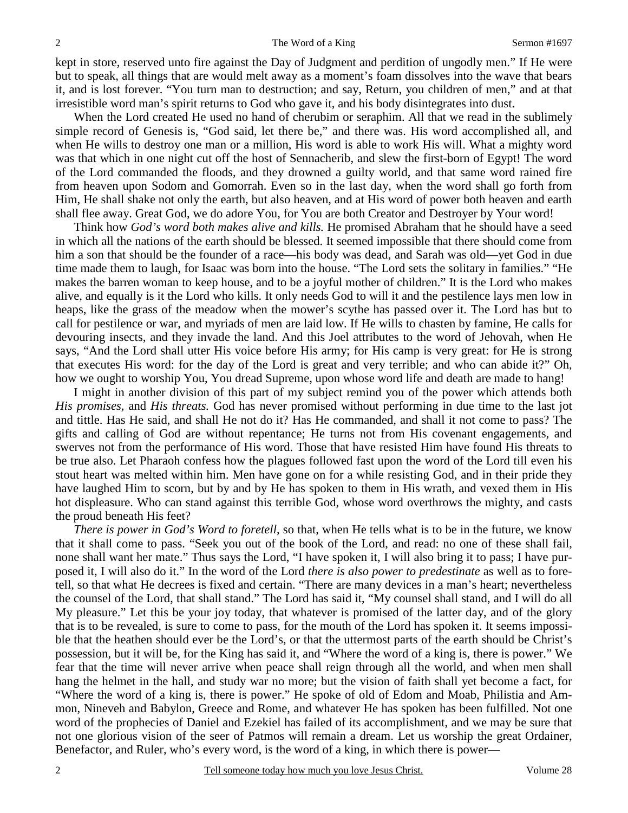kept in store, reserved unto fire against the Day of Judgment and perdition of ungodly men." If He were but to speak, all things that are would melt away as a moment's foam dissolves into the wave that bears it, and is lost forever. "You turn man to destruction; and say, Return, you children of men," and at that irresistible word man's spirit returns to God who gave it, and his body disintegrates into dust.

 When the Lord created He used no hand of cherubim or seraphim. All that we read in the sublimely simple record of Genesis is, "God said, let there be," and there was. His word accomplished all, and when He wills to destroy one man or a million, His word is able to work His will. What a mighty word was that which in one night cut off the host of Sennacherib, and slew the first-born of Egypt! The word of the Lord commanded the floods, and they drowned a guilty world, and that same word rained fire from heaven upon Sodom and Gomorrah. Even so in the last day, when the word shall go forth from Him, He shall shake not only the earth, but also heaven, and at His word of power both heaven and earth shall flee away. Great God, we do adore You, for You are both Creator and Destroyer by Your word!

 Think how *God's word both makes alive and kills.* He promised Abraham that he should have a seed in which all the nations of the earth should be blessed. It seemed impossible that there should come from him a son that should be the founder of a race—his body was dead, and Sarah was old—yet God in due time made them to laugh, for Isaac was born into the house. "The Lord sets the solitary in families." "He makes the barren woman to keep house, and to be a joyful mother of children." It is the Lord who makes alive, and equally is it the Lord who kills. It only needs God to will it and the pestilence lays men low in heaps, like the grass of the meadow when the mower's scythe has passed over it. The Lord has but to call for pestilence or war, and myriads of men are laid low. If He wills to chasten by famine, He calls for devouring insects, and they invade the land. And this Joel attributes to the word of Jehovah, when He says, "And the Lord shall utter His voice before His army; for His camp is very great: for He is strong that executes His word: for the day of the Lord is great and very terrible; and who can abide it?" Oh, how we ought to worship You, You dread Supreme, upon whose word life and death are made to hang!

 I might in another division of this part of my subject remind you of the power which attends both *His promises,* and *His threats.* God has never promised without performing in due time to the last jot and tittle. Has He said, and shall He not do it? Has He commanded, and shall it not come to pass? The gifts and calling of God are without repentance; He turns not from His covenant engagements, and swerves not from the performance of His word. Those that have resisted Him have found His threats to be true also. Let Pharaoh confess how the plagues followed fast upon the word of the Lord till even his stout heart was melted within him. Men have gone on for a while resisting God, and in their pride they have laughed Him to scorn, but by and by He has spoken to them in His wrath, and vexed them in His hot displeasure. Who can stand against this terrible God, whose word overthrows the mighty, and casts the proud beneath His feet?

*There is power in God's Word to foretell,* so that, when He tells what is to be in the future, we know that it shall come to pass. "Seek you out of the book of the Lord, and read: no one of these shall fail, none shall want her mate." Thus says the Lord, "I have spoken it, I will also bring it to pass; I have purposed it, I will also do it." In the word of the Lord *there is also power to predestinate* as well as to foretell, so that what He decrees is fixed and certain. "There are many devices in a man's heart; nevertheless the counsel of the Lord, that shall stand." The Lord has said it, "My counsel shall stand, and I will do all My pleasure." Let this be your joy today, that whatever is promised of the latter day, and of the glory that is to be revealed, is sure to come to pass, for the mouth of the Lord has spoken it. It seems impossible that the heathen should ever be the Lord's, or that the uttermost parts of the earth should be Christ's possession, but it will be, for the King has said it, and "Where the word of a king is, there is power." We fear that the time will never arrive when peace shall reign through all the world, and when men shall hang the helmet in the hall, and study war no more; but the vision of faith shall yet become a fact, for "Where the word of a king is, there is power." He spoke of old of Edom and Moab, Philistia and Ammon, Nineveh and Babylon, Greece and Rome, and whatever He has spoken has been fulfilled. Not one word of the prophecies of Daniel and Ezekiel has failed of its accomplishment, and we may be sure that not one glorious vision of the seer of Patmos will remain a dream. Let us worship the great Ordainer, Benefactor, and Ruler, who's every word, is the word of a king, in which there is power—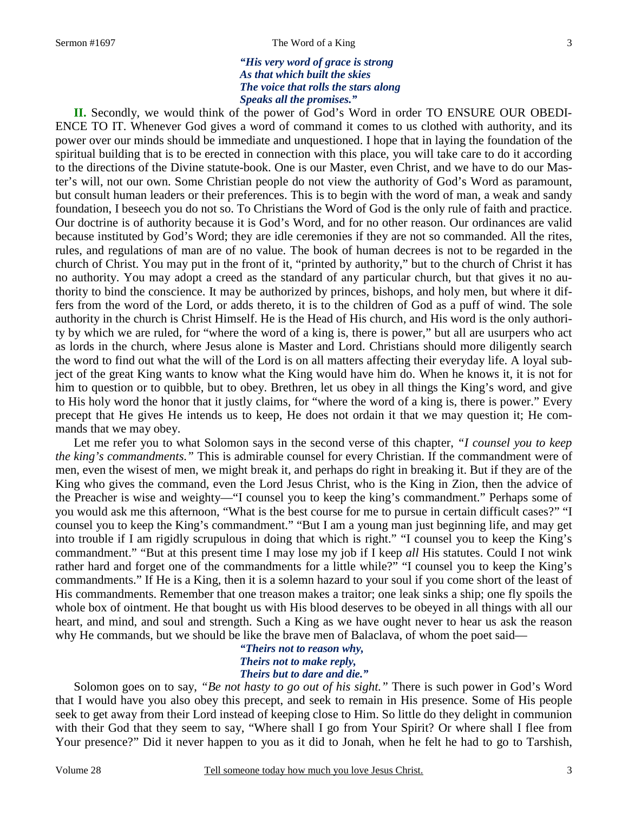#### Sermon #1697 **Sermon #1697** The Word of a King 3

## *"His very word of grace is strong As that which built the skies The voice that rolls the stars along Speaks all the promises."*

**II.** Secondly, we would think of the power of God's Word in order TO ENSURE OUR OBEDI-ENCE TO IT. Whenever God gives a word of command it comes to us clothed with authority, and its power over our minds should be immediate and unquestioned. I hope that in laying the foundation of the spiritual building that is to be erected in connection with this place, you will take care to do it according to the directions of the Divine statute-book. One is our Master, even Christ, and we have to do our Master's will, not our own. Some Christian people do not view the authority of God's Word as paramount, but consult human leaders or their preferences. This is to begin with the word of man, a weak and sandy foundation, I beseech you do not so. To Christians the Word of God is the only rule of faith and practice. Our doctrine is of authority because it is God's Word, and for no other reason. Our ordinances are valid because instituted by God's Word; they are idle ceremonies if they are not so commanded. All the rites, rules, and regulations of man are of no value. The book of human decrees is not to be regarded in the church of Christ. You may put in the front of it, "printed by authority," but to the church of Christ it has no authority. You may adopt a creed as the standard of any particular church, but that gives it no authority to bind the conscience. It may be authorized by princes, bishops, and holy men, but where it differs from the word of the Lord, or adds thereto, it is to the children of God as a puff of wind. The sole authority in the church is Christ Himself. He is the Head of His church, and His word is the only authority by which we are ruled, for "where the word of a king is, there is power," but all are usurpers who act as lords in the church, where Jesus alone is Master and Lord. Christians should more diligently search the word to find out what the will of the Lord is on all matters affecting their everyday life. A loyal subject of the great King wants to know what the King would have him do. When he knows it, it is not for him to question or to quibble, but to obey. Brethren, let us obey in all things the King's word, and give to His holy word the honor that it justly claims, for "where the word of a king is, there is power." Every precept that He gives He intends us to keep, He does not ordain it that we may question it; He commands that we may obey.

 Let me refer you to what Solomon says in the second verse of this chapter, *"I counsel you to keep the king's commandments."* This is admirable counsel for every Christian. If the commandment were of men, even the wisest of men, we might break it, and perhaps do right in breaking it. But if they are of the King who gives the command, even the Lord Jesus Christ, who is the King in Zion, then the advice of the Preacher is wise and weighty—"I counsel you to keep the king's commandment." Perhaps some of you would ask me this afternoon, "What is the best course for me to pursue in certain difficult cases?" "I counsel you to keep the King's commandment." "But I am a young man just beginning life, and may get into trouble if I am rigidly scrupulous in doing that which is right." "I counsel you to keep the King's commandment." "But at this present time I may lose my job if I keep *all* His statutes. Could I not wink rather hard and forget one of the commandments for a little while?" "I counsel you to keep the King's commandments." If He is a King, then it is a solemn hazard to your soul if you come short of the least of His commandments. Remember that one treason makes a traitor; one leak sinks a ship; one fly spoils the whole box of ointment. He that bought us with His blood deserves to be obeyed in all things with all our heart, and mind, and soul and strength. Such a King as we have ought never to hear us ask the reason why He commands, but we should be like the brave men of Balaclava, of whom the poet said—

> *"Theirs not to reason why, Theirs not to make reply, Theirs but to dare and die."*

 Solomon goes on to say, *"Be not hasty to go out of his sight."* There is such power in God's Word that I would have you also obey this precept, and seek to remain in His presence. Some of His people seek to get away from their Lord instead of keeping close to Him. So little do they delight in communion with their God that they seem to say, "Where shall I go from Your Spirit? Or where shall I flee from Your presence?" Did it never happen to you as it did to Jonah, when he felt he had to go to Tarshish,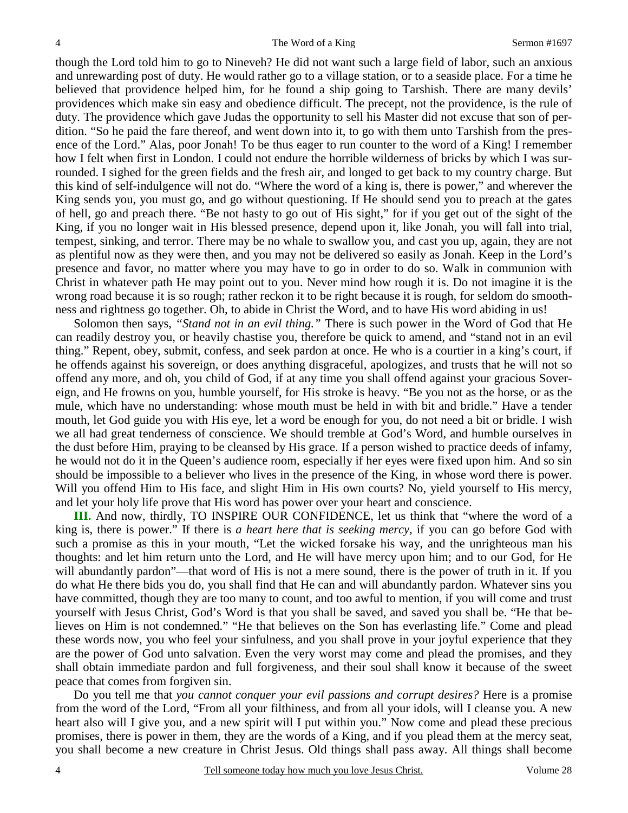though the Lord told him to go to Nineveh? He did not want such a large field of labor, such an anxious and unrewarding post of duty. He would rather go to a village station, or to a seaside place. For a time he believed that providence helped him, for he found a ship going to Tarshish. There are many devils' providences which make sin easy and obedience difficult. The precept, not the providence, is the rule of duty. The providence which gave Judas the opportunity to sell his Master did not excuse that son of perdition. "So he paid the fare thereof, and went down into it, to go with them unto Tarshish from the presence of the Lord." Alas, poor Jonah! To be thus eager to run counter to the word of a King! I remember how I felt when first in London. I could not endure the horrible wilderness of bricks by which I was surrounded. I sighed for the green fields and the fresh air, and longed to get back to my country charge. But this kind of self-indulgence will not do. "Where the word of a king is, there is power," and wherever the King sends you, you must go, and go without questioning. If He should send you to preach at the gates of hell, go and preach there. "Be not hasty to go out of His sight," for if you get out of the sight of the King, if you no longer wait in His blessed presence, depend upon it, like Jonah, you will fall into trial, tempest, sinking, and terror. There may be no whale to swallow you, and cast you up, again, they are not as plentiful now as they were then, and you may not be delivered so easily as Jonah. Keep in the Lord's presence and favor, no matter where you may have to go in order to do so. Walk in communion with Christ in whatever path He may point out to you. Never mind how rough it is. Do not imagine it is the wrong road because it is so rough; rather reckon it to be right because it is rough, for seldom do smoothness and rightness go together. Oh, to abide in Christ the Word, and to have His word abiding in us!

 Solomon then says, *"Stand not in an evil thing."* There is such power in the Word of God that He can readily destroy you, or heavily chastise you, therefore be quick to amend, and "stand not in an evil thing." Repent, obey, submit, confess, and seek pardon at once. He who is a courtier in a king's court, if he offends against his sovereign, or does anything disgraceful, apologizes, and trusts that he will not so offend any more, and oh, you child of God, if at any time you shall offend against your gracious Sovereign, and He frowns on you, humble yourself, for His stroke is heavy. "Be you not as the horse, or as the mule, which have no understanding: whose mouth must be held in with bit and bridle." Have a tender mouth, let God guide you with His eye, let a word be enough for you, do not need a bit or bridle. I wish we all had great tenderness of conscience. We should tremble at God's Word, and humble ourselves in the dust before Him, praying to be cleansed by His grace. If a person wished to practice deeds of infamy, he would not do it in the Queen's audience room, especially if her eyes were fixed upon him. And so sin should be impossible to a believer who lives in the presence of the King, in whose word there is power. Will you offend Him to His face, and slight Him in His own courts? No, yield yourself to His mercy, and let your holy life prove that His word has power over your heart and conscience.

**III.** And now, thirdly, TO INSPIRE OUR CONFIDENCE, let us think that "where the word of a king is, there is power." If there is *a heart here that is seeking mercy,* if you can go before God with such a promise as this in your mouth, "Let the wicked forsake his way, and the unrighteous man his thoughts: and let him return unto the Lord, and He will have mercy upon him; and to our God, for He will abundantly pardon"—that word of His is not a mere sound, there is the power of truth in it. If you do what He there bids you do, you shall find that He can and will abundantly pardon. Whatever sins you have committed, though they are too many to count, and too awful to mention, if you will come and trust yourself with Jesus Christ, God's Word is that you shall be saved, and saved you shall be. "He that believes on Him is not condemned." "He that believes on the Son has everlasting life." Come and plead these words now, you who feel your sinfulness, and you shall prove in your joyful experience that they are the power of God unto salvation. Even the very worst may come and plead the promises, and they shall obtain immediate pardon and full forgiveness, and their soul shall know it because of the sweet peace that comes from forgiven sin.

 Do you tell me that *you cannot conquer your evil passions and corrupt desires?* Here is a promise from the word of the Lord, "From all your filthiness, and from all your idols, will I cleanse you. A new heart also will I give you, and a new spirit will I put within you." Now come and plead these precious promises, there is power in them, they are the words of a King, and if you plead them at the mercy seat, you shall become a new creature in Christ Jesus. Old things shall pass away. All things shall become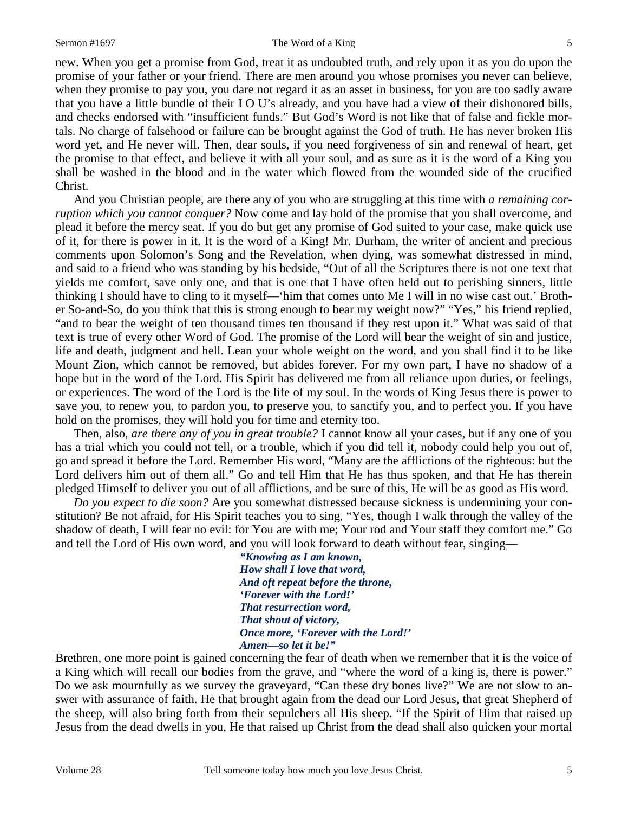new. When you get a promise from God, treat it as undoubted truth, and rely upon it as you do upon the promise of your father or your friend. There are men around you whose promises you never can believe, when they promise to pay you, you dare not regard it as an asset in business, for you are too sadly aware that you have a little bundle of their I O U's already, and you have had a view of their dishonored bills, and checks endorsed with "insufficient funds." But God's Word is not like that of false and fickle mortals. No charge of falsehood or failure can be brought against the God of truth. He has never broken His word yet, and He never will. Then, dear souls, if you need forgiveness of sin and renewal of heart, get the promise to that effect, and believe it with all your soul, and as sure as it is the word of a King you shall be washed in the blood and in the water which flowed from the wounded side of the crucified Christ.

 And you Christian people, are there any of you who are struggling at this time with *a remaining corruption which you cannot conquer?* Now come and lay hold of the promise that you shall overcome, and plead it before the mercy seat. If you do but get any promise of God suited to your case, make quick use of it, for there is power in it. It is the word of a King! Mr. Durham, the writer of ancient and precious comments upon Solomon's Song and the Revelation, when dying, was somewhat distressed in mind, and said to a friend who was standing by his bedside, "Out of all the Scriptures there is not one text that yields me comfort, save only one, and that is one that I have often held out to perishing sinners, little thinking I should have to cling to it myself—'him that comes unto Me I will in no wise cast out.' Brother So-and-So, do you think that this is strong enough to bear my weight now?" "Yes," his friend replied, "and to bear the weight of ten thousand times ten thousand if they rest upon it." What was said of that text is true of every other Word of God. The promise of the Lord will bear the weight of sin and justice, life and death, judgment and hell. Lean your whole weight on the word, and you shall find it to be like Mount Zion, which cannot be removed, but abides forever. For my own part, I have no shadow of a hope but in the word of the Lord. His Spirit has delivered me from all reliance upon duties, or feelings, or experiences. The word of the Lord is the life of my soul. In the words of King Jesus there is power to save you, to renew you, to pardon you, to preserve you, to sanctify you, and to perfect you. If you have hold on the promises, they will hold you for time and eternity too.

 Then, also, *are there any of you in great trouble?* I cannot know all your cases, but if any one of you has a trial which you could not tell, or a trouble, which if you did tell it, nobody could help you out of, go and spread it before the Lord. Remember His word, "Many are the afflictions of the righteous: but the Lord delivers him out of them all." Go and tell Him that He has thus spoken, and that He has therein pledged Himself to deliver you out of all afflictions, and be sure of this, He will be as good as His word.

*Do you expect to die soon?* Are you somewhat distressed because sickness is undermining your constitution? Be not afraid, for His Spirit teaches you to sing, "Yes, though I walk through the valley of the shadow of death, I will fear no evil: for You are with me; Your rod and Your staff they comfort me." Go and tell the Lord of His own word, and you will look forward to death without fear, singing—

> *"Knowing as I am known, How shall I love that word, And oft repeat before the throne, 'Forever with the Lord!' That resurrection word, That shout of victory, Once more, 'Forever with the Lord!' Amen—so let it be!"*

Brethren, one more point is gained concerning the fear of death when we remember that it is the voice of a King which will recall our bodies from the grave, and "where the word of a king is, there is power." Do we ask mournfully as we survey the graveyard, "Can these dry bones live?" We are not slow to answer with assurance of faith. He that brought again from the dead our Lord Jesus, that great Shepherd of the sheep, will also bring forth from their sepulchers all His sheep. "If the Spirit of Him that raised up Jesus from the dead dwells in you, He that raised up Christ from the dead shall also quicken your mortal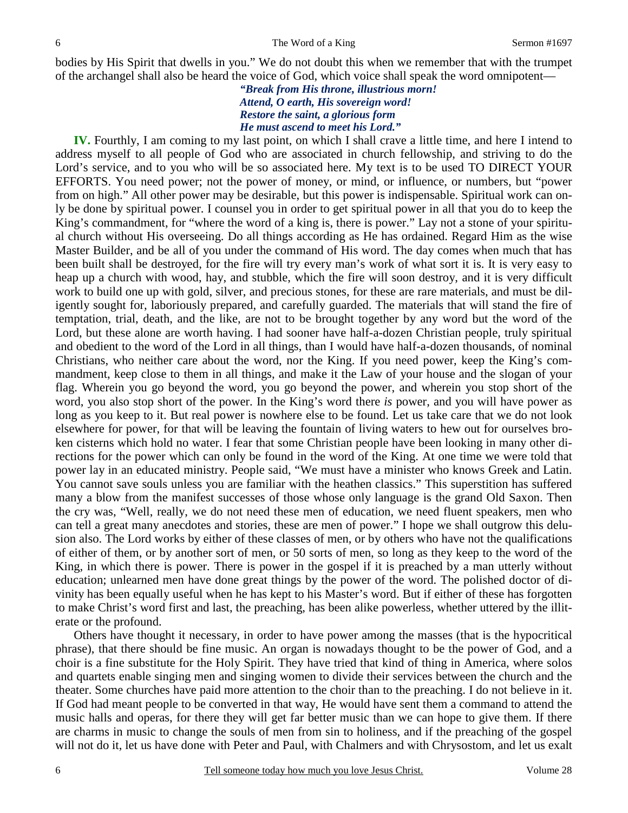bodies by His Spirit that dwells in you." We do not doubt this when we remember that with the trumpet of the archangel shall also be heard the voice of God, which voice shall speak the word omnipotent—

> *"Break from His throne, illustrious morn! Attend, O earth, His sovereign word! Restore the saint, a glorious form He must ascend to meet his Lord."*

**IV.** Fourthly, I am coming to my last point, on which I shall crave a little time, and here I intend to address myself to all people of God who are associated in church fellowship, and striving to do the Lord's service, and to you who will be so associated here. My text is to be used TO DIRECT YOUR EFFORTS. You need power; not the power of money, or mind, or influence, or numbers, but "power from on high." All other power may be desirable, but this power is indispensable. Spiritual work can only be done by spiritual power. I counsel you in order to get spiritual power in all that you do to keep the King's commandment, for "where the word of a king is, there is power." Lay not a stone of your spiritual church without His overseeing. Do all things according as He has ordained. Regard Him as the wise Master Builder, and be all of you under the command of His word. The day comes when much that has been built shall be destroyed, for the fire will try every man's work of what sort it is. It is very easy to heap up a church with wood, hay, and stubble, which the fire will soon destroy, and it is very difficult work to build one up with gold, silver, and precious stones, for these are rare materials, and must be diligently sought for, laboriously prepared, and carefully guarded. The materials that will stand the fire of temptation, trial, death, and the like, are not to be brought together by any word but the word of the Lord, but these alone are worth having. I had sooner have half-a-dozen Christian people, truly spiritual and obedient to the word of the Lord in all things, than I would have half-a-dozen thousands, of nominal Christians, who neither care about the word, nor the King. If you need power, keep the King's commandment, keep close to them in all things, and make it the Law of your house and the slogan of your flag. Wherein you go beyond the word, you go beyond the power, and wherein you stop short of the word, you also stop short of the power. In the King's word there *is* power, and you will have power as long as you keep to it. But real power is nowhere else to be found. Let us take care that we do not look elsewhere for power, for that will be leaving the fountain of living waters to hew out for ourselves broken cisterns which hold no water. I fear that some Christian people have been looking in many other directions for the power which can only be found in the word of the King. At one time we were told that power lay in an educated ministry. People said, "We must have a minister who knows Greek and Latin. You cannot save souls unless you are familiar with the heathen classics." This superstition has suffered many a blow from the manifest successes of those whose only language is the grand Old Saxon. Then the cry was, "Well, really, we do not need these men of education, we need fluent speakers, men who can tell a great many anecdotes and stories, these are men of power." I hope we shall outgrow this delusion also. The Lord works by either of these classes of men, or by others who have not the qualifications of either of them, or by another sort of men, or 50 sorts of men, so long as they keep to the word of the King, in which there is power. There is power in the gospel if it is preached by a man utterly without education; unlearned men have done great things by the power of the word. The polished doctor of divinity has been equally useful when he has kept to his Master's word. But if either of these has forgotten to make Christ's word first and last, the preaching, has been alike powerless, whether uttered by the illiterate or the profound.

 Others have thought it necessary, in order to have power among the masses (that is the hypocritical phrase), that there should be fine music. An organ is nowadays thought to be the power of God, and a choir is a fine substitute for the Holy Spirit. They have tried that kind of thing in America, where solos and quartets enable singing men and singing women to divide their services between the church and the theater. Some churches have paid more attention to the choir than to the preaching. I do not believe in it. If God had meant people to be converted in that way, He would have sent them a command to attend the music halls and operas, for there they will get far better music than we can hope to give them. If there are charms in music to change the souls of men from sin to holiness, and if the preaching of the gospel will not do it, let us have done with Peter and Paul, with Chalmers and with Chrysostom, and let us exalt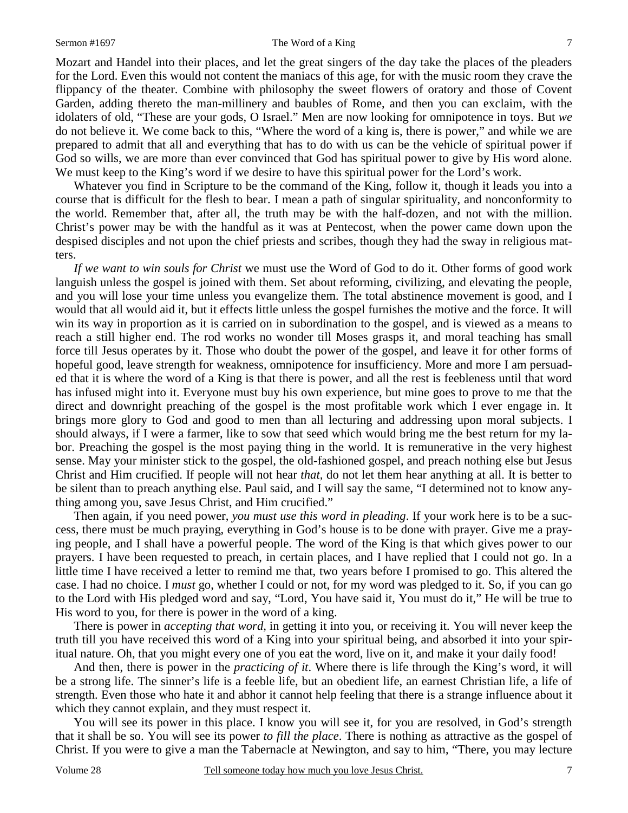Mozart and Handel into their places, and let the great singers of the day take the places of the pleaders for the Lord. Even this would not content the maniacs of this age, for with the music room they crave the flippancy of the theater. Combine with philosophy the sweet flowers of oratory and those of Covent Garden, adding thereto the man-millinery and baubles of Rome, and then you can exclaim, with the idolaters of old, "These are your gods, O Israel." Men are now looking for omnipotence in toys. But *we* do not believe it. We come back to this, "Where the word of a king is, there is power," and while we are prepared to admit that all and everything that has to do with us can be the vehicle of spiritual power if God so wills, we are more than ever convinced that God has spiritual power to give by His word alone. We must keep to the King's word if we desire to have this spiritual power for the Lord's work.

 Whatever you find in Scripture to be the command of the King, follow it, though it leads you into a course that is difficult for the flesh to bear. I mean a path of singular spirituality, and nonconformity to the world. Remember that, after all, the truth may be with the half-dozen, and not with the million. Christ's power may be with the handful as it was at Pentecost, when the power came down upon the despised disciples and not upon the chief priests and scribes, though they had the sway in religious matters.

*If we want to win souls for Christ* we must use the Word of God to do it. Other forms of good work languish unless the gospel is joined with them. Set about reforming, civilizing, and elevating the people, and you will lose your time unless you evangelize them. The total abstinence movement is good, and I would that all would aid it, but it effects little unless the gospel furnishes the motive and the force. It will win its way in proportion as it is carried on in subordination to the gospel, and is viewed as a means to reach a still higher end. The rod works no wonder till Moses grasps it, and moral teaching has small force till Jesus operates by it. Those who doubt the power of the gospel, and leave it for other forms of hopeful good, leave strength for weakness, omnipotence for insufficiency. More and more I am persuaded that it is where the word of a King is that there is power, and all the rest is feebleness until that word has infused might into it. Everyone must buy his own experience, but mine goes to prove to me that the direct and downright preaching of the gospel is the most profitable work which I ever engage in. It brings more glory to God and good to men than all lecturing and addressing upon moral subjects. I should always, if I were a farmer, like to sow that seed which would bring me the best return for my labor. Preaching the gospel is the most paying thing in the world. It is remunerative in the very highest sense. May your minister stick to the gospel, the old-fashioned gospel, and preach nothing else but Jesus Christ and Him crucified. If people will not hear *that,* do not let them hear anything at all. It is better to be silent than to preach anything else. Paul said, and I will say the same, "I determined not to know anything among you, save Jesus Christ, and Him crucified."

 Then again, if you need power, *you must use this word in pleading*. If your work here is to be a success, there must be much praying, everything in God's house is to be done with prayer. Give me a praying people, and I shall have a powerful people. The word of the King is that which gives power to our prayers. I have been requested to preach, in certain places, and I have replied that I could not go. In a little time I have received a letter to remind me that, two years before I promised to go. This altered the case. I had no choice. I *must* go, whether I could or not, for my word was pledged to it. So, if you can go to the Lord with His pledged word and say, "Lord, You have said it, You must do it," He will be true to His word to you, for there is power in the word of a king.

 There is power in *accepting that word,* in getting it into you, or receiving it. You will never keep the truth till you have received this word of a King into your spiritual being, and absorbed it into your spiritual nature. Oh, that you might every one of you eat the word, live on it, and make it your daily food!

 And then, there is power in the *practicing of it*. Where there is life through the King's word, it will be a strong life. The sinner's life is a feeble life, but an obedient life, an earnest Christian life, a life of strength. Even those who hate it and abhor it cannot help feeling that there is a strange influence about it which they cannot explain, and they must respect it.

 You will see its power in this place. I know you will see it, for you are resolved, in God's strength that it shall be so. You will see its power *to fill the place*. There is nothing as attractive as the gospel of Christ. If you were to give a man the Tabernacle at Newington, and say to him, "There, you may lecture